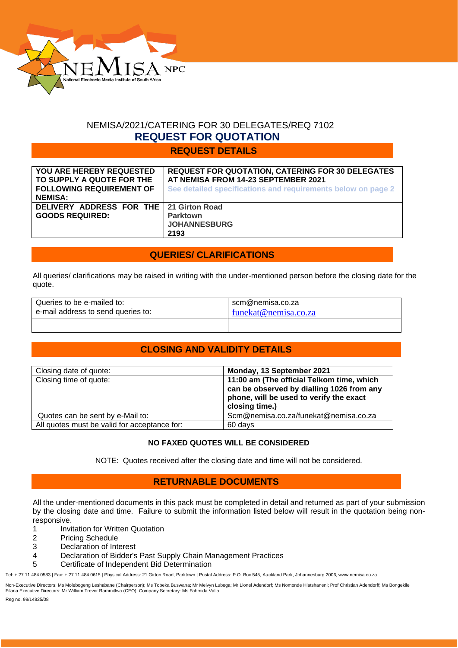

# NEMISA/2021/CATERING FOR 30 DELEGATES/REQ 7102  **REQUEST FOR QUOTATION**

# **REQUEST DETAILS**

| YOU ARE HEREBY REQUESTED<br>TO SUPPLY A QUOTE FOR THE<br><b>FOLLOWING REQUIREMENT OF</b><br><b>NEMISA:</b> | <b>REQUEST FOR QUOTATION, CATERING FOR 30 DELEGATES</b><br>AT NEMISA FROM 14-23 SEPTEMBER 2021<br>See detailed specifications and requirements below on page 2 |
|------------------------------------------------------------------------------------------------------------|----------------------------------------------------------------------------------------------------------------------------------------------------------------|
| DELIVERY ADDRESS FOR THE   21 Girton Road<br><b>GOODS REQUIRED:</b>                                        | <b>Parktown</b><br><b>JOHANNESBURG</b><br>2193                                                                                                                 |

# **QUERIES/ CLARIFICATIONS**

All queries/ clarifications may be raised in writing with the under-mentioned person before the closing date for the quote.

| Queries to be e-mailed to:         | scm@nemisa.co.za     |
|------------------------------------|----------------------|
| e-mail address to send queries to: | funekat@nemisa.co.za |
|                                    |                      |

# **CLOSING AND VALIDITY DETAILS**

| Closing date of quote:                       | Monday, 13 September 2021                                                            |
|----------------------------------------------|--------------------------------------------------------------------------------------|
| Closing time of quote:                       | 11:00 am (The official Telkom time, which                                            |
|                                              | can be observed by dialling 1026 from any<br>phone, will be used to verify the exact |
|                                              | closing time.)                                                                       |
| Quotes can be sent by e-Mail to:             | Scm@nemisa.co.za/funekat@nemisa.co.za                                                |
| All quotes must be valid for acceptance for: | 60 days                                                                              |

## **NO FAXED QUOTES WILL BE CONSIDERED**

NOTE: Quotes received after the closing date and time will not be considered.

# **RETURNABLE DOCUMENTS**

All the under-mentioned documents in this pack must be completed in detail and returned as part of your submission by the closing date and time. Failure to submit the information listed below will result in the quotation being nonresponsive.

- 1 Invitation for Written Quotation
- 2 Pricing Schedule
- 3 Declaration of Interest
- 4 Declaration of Bidder's Past Supply Chain Management Practices
- 5 Certificate of Independent Bid Determination

Tel: + 27 11 484 0583 | Fax: + 27 11 484 0615 | Physical Address: 21 Girton Road, Parktown | Postal Address: P.O. Box 545, Auckland Park, Johannesburg 2006, www.nemisa.co.za

Non-Executive Directors: Ms Molebogeng Leshabane (Chairperson); Ms Tobeka Buswana; Mr Melvyn Lubega; Mr Lionel Adendorf; Ms Nomonde Hlatshaneni; Prof Christian Adendorff; Ms Bongekile<br>Filana Executive Directors: Mr William

Reg no. 98/14825/08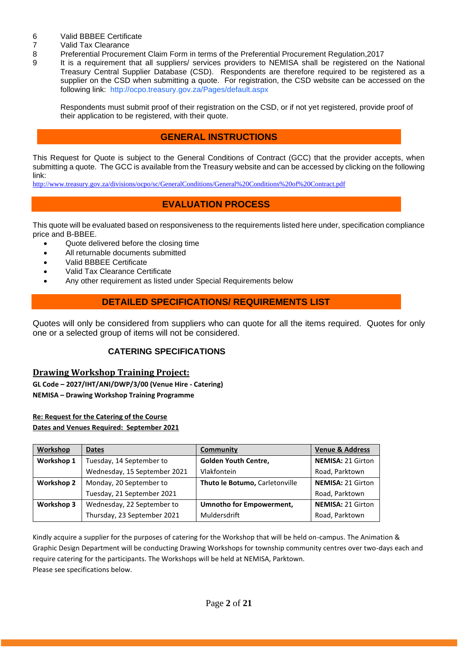- 6 Valid BBBEE Certificate<br>7 Valid Tax Clearance
- 7 Valid Tax Clearance<br>8 Preferential Procurer
- 8 Preferential Procurement Claim Form in terms of the Preferential Procurement Regulation,2017
- 9 It is a requirement that all suppliers/ services providers to NEMISA shall be registered on the National Treasury Central Supplier Database (CSD). Respondents are therefore required to be registered as a supplier on the CSD when submitting a quote. For registration, the CSD website can be accessed on the following link: <http://ocpo.treasury.gov.za/Pages/default.aspx>

Respondents must submit proof of their registration on the CSD, or if not yet registered, provide proof of their application to be registered, with their quote.

# **GENERAL INSTRUCTIONS**

This Request for Quote is subject to the General Conditions of Contract (GCC) that the provider accepts, when submitting a quote. The GCC is available from the Treasury website and can be accessed by clicking on the following link:

<http://www.treasury.gov.za/divisions/ocpo/sc/GeneralConditions/General%20Conditions%20of%20Contract.pdf>

# **EVALUATION PROCESS**

This quote will be evaluated based on responsiveness to the requirements listed here under, specification compliance price and B-BBEE.

- Quote delivered before the closing time
- All returnable documents submitted
- Valid BBBEE Certificate
- Valid Tax Clearance Certificate
- Any other requirement as listed under Special Requirements below

# **DETAILED SPECIFICATIONS/ REQUIREMENTS LIST**

Quotes will only be considered from suppliers who can quote for all the items required. Quotes for only one or a selected group of items will not be considered.

## **CATERING SPECIFICATIONS**

## **Drawing Workshop Training Project:**

**GL Code – 2027/IHT/ANI/DWP/3/00 (Venue Hire - Catering) NEMISA – Drawing Workshop Training Programme**

## **Re: Request for the Catering of the Course**

**Dates and Venues Required: September 2021**

| <b>Workshop</b>   | <b>Dates</b>                 | Community                       | <b>Venue &amp; Address</b> |
|-------------------|------------------------------|---------------------------------|----------------------------|
| Workshop 1        | Tuesday, 14 September to     | <b>Golden Youth Centre,</b>     | NEMISA: 21 Girton          |
|                   | Wednesday, 15 September 2021 | Vlakfontein                     | Road, Parktown             |
| <b>Workshop 2</b> | Monday, 20 September to      | Thuto le Botumo, Carletonville  | NEMISA: 21 Girton          |
|                   | Tuesday, 21 September 2021   |                                 | Road, Parktown             |
| <b>Workshop 3</b> | Wednesday, 22 September to   | <b>Umnotho for Empowerment,</b> | <b>NEMISA: 21 Girton</b>   |
|                   | Thursday, 23 September 2021  | Muldersdrift                    | Road, Parktown             |

Kindly acquire a supplier for the purposes of catering for the Workshop that will be held on-campus. The Animation & Graphic Design Department will be conducting Drawing Workshops for township community centres over two-days each and require catering for the participants. The Workshops will be held at NEMISA, Parktown. Please see specifications below.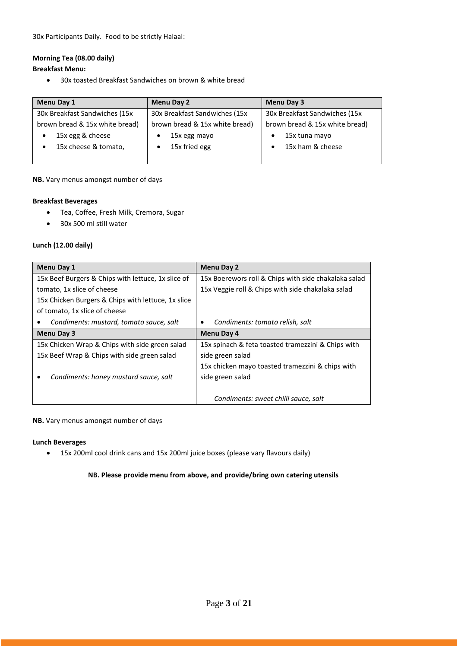30x Participants Daily. Food to be strictly Halaal:

#### **Morning Tea (08.00 daily)**

#### **Breakfast Menu:**

• 30x toasted Breakfast Sandwiches on brown & white bread

| Menu Day 1                     | <b>Menu Day 2</b>              | Menu Day 3                     |
|--------------------------------|--------------------------------|--------------------------------|
| 30x Breakfast Sandwiches (15x) | 30x Breakfast Sandwiches (15x) | 30x Breakfast Sandwiches (15x  |
| brown bread & 15x white bread) | brown bread & 15x white bread) | brown bread & 15x white bread) |
| 15x egg & cheese               | 15x egg mayo                   | 15x tuna mayo                  |
| 15x cheese & tomato,           | 15x fried egg                  | 15x ham & cheese               |
|                                |                                |                                |

#### **NB.** Vary menus amongst number of days

#### **Breakfast Beverages**

- Tea, Coffee, Fresh Milk, Cremora, Sugar
- 30x 500 ml still water

#### **Lunch (12.00 daily)**

| <b>Menu Day 1</b>                                  | Menu Day 2                                           |  |
|----------------------------------------------------|------------------------------------------------------|--|
| 15x Beef Burgers & Chips with lettuce, 1x slice of | 15x Boerewors roll & Chips with side chakalaka salad |  |
| tomato, 1x slice of cheese                         | 15x Veggie roll & Chips with side chakalaka salad    |  |
| 15x Chicken Burgers & Chips with lettuce, 1x slice |                                                      |  |
| of tomato, 1x slice of cheese                      |                                                      |  |
| Condiments: mustard, tomato sauce, salt            | Condiments: tomato relish, salt<br>٠                 |  |
| Menu Day 3                                         | Menu Day 4                                           |  |
| 15x Chicken Wrap & Chips with side green salad     | 15x spinach & feta toasted tramezzini & Chips with   |  |
| 15x Beef Wrap & Chips with side green salad        | side green salad                                     |  |
|                                                    | 15x chicken mayo toasted tramezzini & chips with     |  |
| Condiments: honey mustard sauce, salt              | side green salad                                     |  |
|                                                    |                                                      |  |
|                                                    | Condiments: sweet chilli sauce, salt                 |  |

#### **NB.** Vary menus amongst number of days

#### **Lunch Beverages**

• 15x 200ml cool drink cans and 15x 200ml juice boxes (please vary flavours daily)

#### **NB. Please provide menu from above, and provide/bring own catering utensils**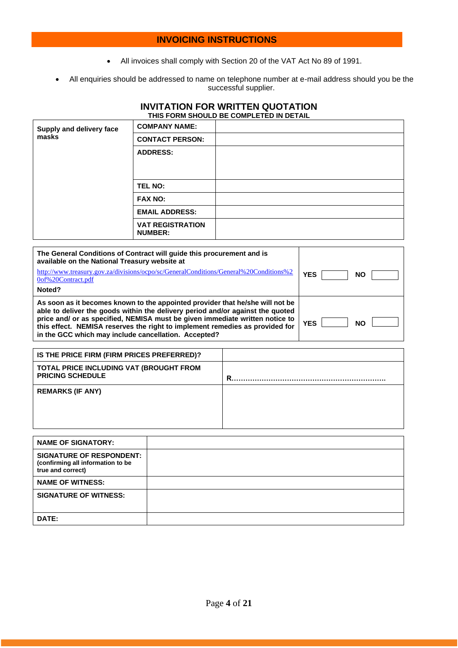# **INVOICING INSTRUCTIONS**

- All invoices shall comply with Section 20 of the VAT Act No 89 of 1991.
- All enquiries should be addressed to name on telephone number at e-mail address should you be the successful supplier.

#### **INVITATION FOR WRITTEN QUOTATION THIS FORM SHOULD BE COMPLETED IN DETAIL**

| Supply and delivery face | <b>COMPANY NAME:</b>                      |  |
|--------------------------|-------------------------------------------|--|
| masks                    | <b>CONTACT PERSON:</b>                    |  |
|                          | <b>ADDRESS:</b>                           |  |
|                          | TEL NO:                                   |  |
|                          | <b>FAX NO:</b>                            |  |
|                          | <b>EMAIL ADDRESS:</b>                     |  |
|                          | <b>VAT REGISTRATION</b><br><b>NUMBER:</b> |  |

| The General Conditions of Contract will quide this procurement and is<br>available on the National Treasury website at                                                                                                                                                                                                                                                                  |                         |
|-----------------------------------------------------------------------------------------------------------------------------------------------------------------------------------------------------------------------------------------------------------------------------------------------------------------------------------------------------------------------------------------|-------------------------|
| http://www.treasury.gov.za/divisions/ocpo/sc/GeneralConditions/General%20Conditions%2<br>0of%20Contract.pdf                                                                                                                                                                                                                                                                             | YES<br><b>NO</b>        |
| Noted?                                                                                                                                                                                                                                                                                                                                                                                  |                         |
| As soon as it becomes known to the appointed provider that he/she will not be<br>able to deliver the goods within the delivery period and/or against the quoted<br>price and/ or as specified, NEMISA must be given immediate written notice to<br>this effect. NEMISA reserves the right to implement remedies as provided for<br>in the GCC which may include cancellation. Accepted? | <b>YES</b><br><b>NO</b> |

| IS THE PRICE FIRM (FIRM PRICES PREFERRED)?                         |   |
|--------------------------------------------------------------------|---|
| TOTAL PRICE INCLUDING VAT (BROUGHT FROM<br><b>PRICING SCHEDULE</b> | R |
| <b>REMARKS (IF ANY)</b>                                            |   |

| <b>NAME OF SIGNATORY:</b>                                                                 |  |
|-------------------------------------------------------------------------------------------|--|
| <b>SIGNATURE OF RESPONDENT:</b><br>(confirming all information to be<br>true and correct) |  |
| <b>NAME OF WITNESS:</b>                                                                   |  |
| <b>SIGNATURE OF WITNESS:</b>                                                              |  |
| DATE:                                                                                     |  |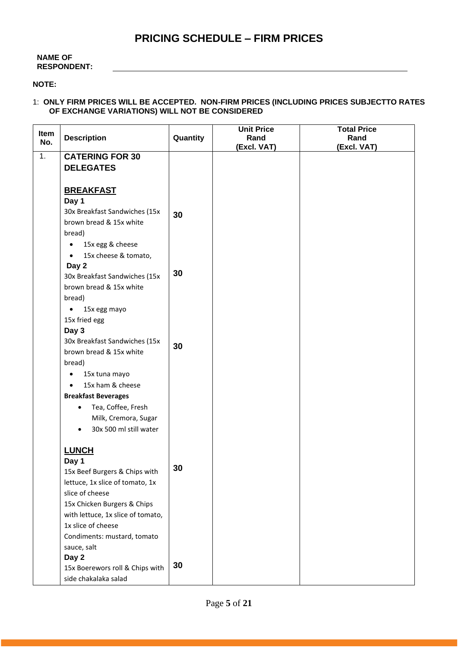# **PRICING SCHEDULE – FIRM PRICES**

#### **NAME OF RESPONDENT:**

#### **NOTE:**

#### 1: **ONLY FIRM PRICES WILL BE ACCEPTED. NON-FIRM PRICES (INCLUDING PRICES SUBJECTTO RATES OF EXCHANGE VARIATIONS) WILL NOT BE CONSIDERED**

| Item |                                        |          | <b>Unit Price</b> | <b>Total Price</b> |
|------|----------------------------------------|----------|-------------------|--------------------|
| No.  | <b>Description</b>                     | Quantity | Rand              | Rand               |
| 1.   | <b>CATERING FOR 30</b>                 |          | (Excl. VAT)       | (Excl. VAT)        |
|      | <b>DELEGATES</b>                       |          |                   |                    |
|      |                                        |          |                   |                    |
|      |                                        |          |                   |                    |
|      | <b>BREAKFAST</b>                       |          |                   |                    |
|      | Day 1<br>30x Breakfast Sandwiches (15x |          |                   |                    |
|      | brown bread & 15x white                | 30       |                   |                    |
|      |                                        |          |                   |                    |
|      | bread)                                 |          |                   |                    |
|      | 15x egg & cheese<br>$\bullet$          |          |                   |                    |
|      | 15x cheese & tomato,<br>$\bullet$      |          |                   |                    |
|      | Day 2                                  | 30       |                   |                    |
|      | 30x Breakfast Sandwiches (15x          |          |                   |                    |
|      | brown bread & 15x white                |          |                   |                    |
|      | bread)                                 |          |                   |                    |
|      | 15x egg mayo                           |          |                   |                    |
|      | 15x fried egg                          |          |                   |                    |
|      | Day 3                                  |          |                   |                    |
|      | 30x Breakfast Sandwiches (15x          | 30       |                   |                    |
|      | brown bread & 15x white                |          |                   |                    |
|      | bread)                                 |          |                   |                    |
|      | 15x tuna mayo                          |          |                   |                    |
|      | 15x ham & cheese<br>$\bullet$          |          |                   |                    |
|      | <b>Breakfast Beverages</b>             |          |                   |                    |
|      | Tea, Coffee, Fresh<br>$\bullet$        |          |                   |                    |
|      | Milk, Cremora, Sugar                   |          |                   |                    |
|      | 30x 500 ml still water                 |          |                   |                    |
|      |                                        |          |                   |                    |
|      | <b>LUNCH</b>                           |          |                   |                    |
|      | Day 1                                  | 30       |                   |                    |
|      | 15x Beef Burgers & Chips with          |          |                   |                    |
|      | lettuce, 1x slice of tomato, 1x        |          |                   |                    |
|      | slice of cheese                        |          |                   |                    |
|      | 15x Chicken Burgers & Chips            |          |                   |                    |
|      | with lettuce, 1x slice of tomato,      |          |                   |                    |
|      | 1x slice of cheese                     |          |                   |                    |
|      | Condiments: mustard, tomato            |          |                   |                    |
|      | sauce, salt                            |          |                   |                    |
|      | Day 2                                  | 30       |                   |                    |
|      | 15x Boerewors roll & Chips with        |          |                   |                    |
|      | side chakalaka salad                   |          |                   |                    |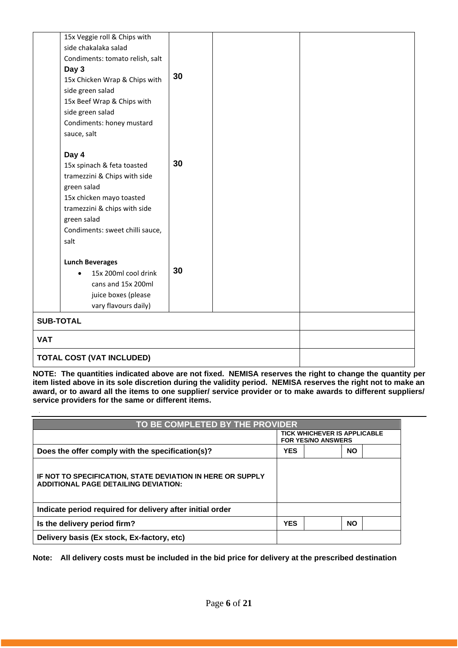| 15x Veggie roll & Chips with      |    |  |  |
|-----------------------------------|----|--|--|
| side chakalaka salad              |    |  |  |
| Condiments: tomato relish, salt   |    |  |  |
| Day 3                             |    |  |  |
| 15x Chicken Wrap & Chips with     | 30 |  |  |
| side green salad                  |    |  |  |
| 15x Beef Wrap & Chips with        |    |  |  |
| side green salad                  |    |  |  |
| Condiments: honey mustard         |    |  |  |
| sauce, salt                       |    |  |  |
|                                   |    |  |  |
| Day 4                             |    |  |  |
| 15x spinach & feta toasted        | 30 |  |  |
| tramezzini & Chips with side      |    |  |  |
| green salad                       |    |  |  |
| 15x chicken mayo toasted          |    |  |  |
| tramezzini & chips with side      |    |  |  |
| green salad                       |    |  |  |
| Condiments: sweet chilli sauce,   |    |  |  |
| salt                              |    |  |  |
|                                   |    |  |  |
| <b>Lunch Beverages</b>            |    |  |  |
| 15x 200ml cool drink<br>$\bullet$ | 30 |  |  |
| cans and 15x 200ml                |    |  |  |
| juice boxes (please               |    |  |  |
| vary flavours daily)              |    |  |  |
| <b>SUB-TOTAL</b>                  |    |  |  |
| <b>VAT</b>                        |    |  |  |
| <b>TOTAL COST (VAT INCLUDED)</b>  |    |  |  |

**NOTE: The quantities indicated above are not fixed. NEMISA reserves the right to change the quantity per item listed above in its sole discretion during the validity period. NEMISA reserves the right not to make an award, or to award all the items to one supplier/ service provider or to make awards to different suppliers/ service providers for the same or different items.**

| TO BE COMPLETED BY THE PROVIDER                                                                           |            |                                                                  |           |  |
|-----------------------------------------------------------------------------------------------------------|------------|------------------------------------------------------------------|-----------|--|
|                                                                                                           |            | <b>TICK WHICHEVER IS APPLICABLE</b><br><b>FOR YES/NO ANSWERS</b> |           |  |
| Does the offer comply with the specification(s)?                                                          | <b>YES</b> |                                                                  | <b>NO</b> |  |
| IF NOT TO SPECIFICATION, STATE DEVIATION IN HERE OR SUPPLY<br><b>ADDITIONAL PAGE DETAILING DEVIATION:</b> |            |                                                                  |           |  |
| Indicate period required for delivery after initial order                                                 |            |                                                                  |           |  |
| Is the delivery period firm?                                                                              | <b>YES</b> |                                                                  | <b>NO</b> |  |
| Delivery basis (Ex stock, Ex-factory, etc)                                                                |            |                                                                  |           |  |

**Note: All delivery costs must be included in the bid price for delivery at the prescribed destination**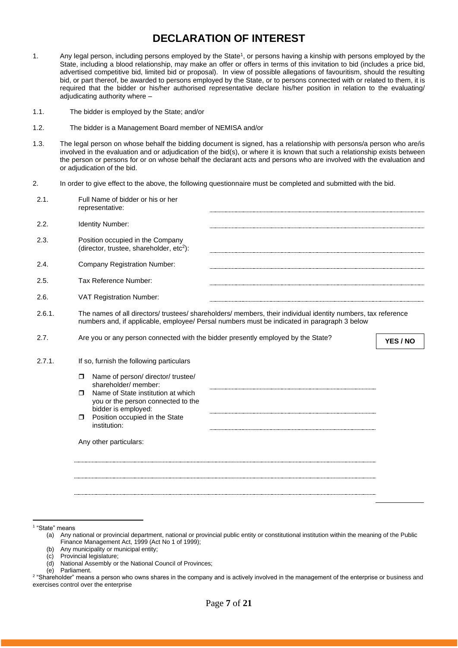# **DECLARATION OF INTEREST**

- 1. Any legal person, including persons employed by the State<sup>1</sup>, or persons having a kinship with persons employed by the State, including a blood relationship, may make an offer or offers in terms of this invitation to bid (includes a price bid, advertised competitive bid, limited bid or proposal). In view of possible allegations of favouritism, should the resulting bid, or part thereof, be awarded to persons employed by the State, or to persons connected with or related to them, it is required that the bidder or his/her authorised representative declare his/her position in relation to the evaluating/ adjudicating authority where –
- 1.1. The bidder is employed by the State; and/or
- 1.2. The bidder is a Management Board member of NEMISA and/or
- 1.3. The legal person on whose behalf the bidding document is signed, has a relationship with persons/a person who are/is involved in the evaluation and or adjudication of the bid(s), or where it is known that such a relationship exists between the person or persons for or on whose behalf the declarant acts and persons who are involved with the evaluation and or adjudication of the bid.
- 2. In order to give effect to the above, the following questionnaire must be completed and submitted with the bid.

| 2.1.   | Full Name of bidder or his or her<br>representative:                                                                                                                                                                                                                    |          |
|--------|-------------------------------------------------------------------------------------------------------------------------------------------------------------------------------------------------------------------------------------------------------------------------|----------|
| 2.2.   | Identity Number:                                                                                                                                                                                                                                                        |          |
| 2.3.   | Position occupied in the Company<br>(director, trustee, shareholder, etc <sup>2</sup> ):                                                                                                                                                                                |          |
| 2.4.   | <b>Company Registration Number:</b>                                                                                                                                                                                                                                     |          |
| 2.5.   | Tax Reference Number:                                                                                                                                                                                                                                                   |          |
| 2.6.   | VAT Registration Number:                                                                                                                                                                                                                                                |          |
| 2.6.1. | The names of all directors/trustees/shareholders/members, their individual identity numbers, tax reference<br>numbers and, if applicable, employee/ Persal numbers must be indicated in paragraph 3 below                                                               |          |
| 2.7.   | Are you or any person connected with the bidder presently employed by the State?                                                                                                                                                                                        | YES / NO |
| 2.7.1. | If so, furnish the following particulars                                                                                                                                                                                                                                |          |
|        | Name of person/ director/ trustee/<br>$\Box$<br>shareholder/ member:<br>Name of State institution at which<br>$\Box$<br>you or the person connected to the<br>bidder is employed:<br>Position occupied in the State<br>$\Box$<br>institution:<br>Any other particulars: |          |
|        |                                                                                                                                                                                                                                                                         |          |

1 "State" means

(b) Any municipality or municipal entity;

- (d) National Assembly or the National Council of Provinces;
- (e) Parliament.

<sup>(</sup>a) Any national or provincial department, national or provincial public entity or constitutional institution within the meaning of the Public Finance Management Act, 1999 (Act No 1 of 1999);

<sup>(</sup>c) Provincial legislature;

<sup>2</sup> "Shareholder" means a person who owns shares in the company and is actively involved in the management of the enterprise or business and exercises control over the enterprise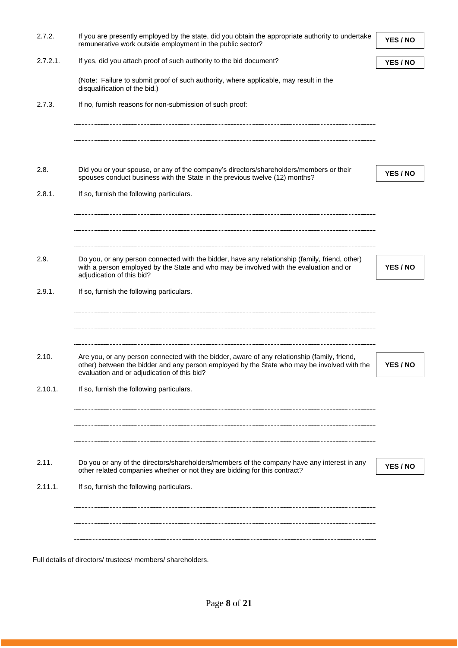| 2.7.2.      | If you are presently employed by the state, did you obtain the appropriate authority to undertake<br>remunerative work outside employment in the public sector?                          | YES / NO |
|-------------|------------------------------------------------------------------------------------------------------------------------------------------------------------------------------------------|----------|
| $2.7.2.1$ . | If yes, did you attach proof of such authority to the bid document?                                                                                                                      | YES / NO |
|             | (Note: Failure to submit proof of such authority, where applicable, may result in the<br>disqualification of the bid.)                                                                   |          |
| 2.7.3.      | If no, furnish reasons for non-submission of such proof:                                                                                                                                 |          |
|             |                                                                                                                                                                                          |          |
| 2.8.        | Did you or your spouse, or any of the company's directors/shareholders/members or their<br>spouses conduct business with the State in the previous twelve (12) months?                   | YES / NO |
| 2.8.1.      | If so, furnish the following particulars.                                                                                                                                                |          |
|             |                                                                                                                                                                                          |          |
| 2.9.        | Do you, or any person connected with the bidder, have any relationship (family, friend, other)<br>with a person employed by the State and who may be involved with the evaluation and or | YES / NO |
|             | adjudication of this bid?                                                                                                                                                                |          |
| 2.9.1.      | If so, furnish the following particulars.                                                                                                                                                |          |
|             |                                                                                                                                                                                          |          |
| 2.10.       | Are you, or any person connected with the bidder, aware of any relationship (family, friend,                                                                                             |          |
|             | other) between the bidder and any person employed by the State who may be involved with the<br>evaluation and or adjudication of this bid?                                               | YES / NO |
| 2.10.1.     | If so, furnish the following particulars.                                                                                                                                                |          |
|             |                                                                                                                                                                                          |          |
| 2.11.       | Do you or any of the directors/shareholders/members of the company have any interest in any<br>other related companies whether or not they are bidding for this contract?                | YES / NO |
| 2.11.1.     | If so, furnish the following particulars.                                                                                                                                                |          |
|             |                                                                                                                                                                                          |          |
|             |                                                                                                                                                                                          |          |
|             | Full details of directors/ trustees/ members/ shareholders.                                                                                                                              |          |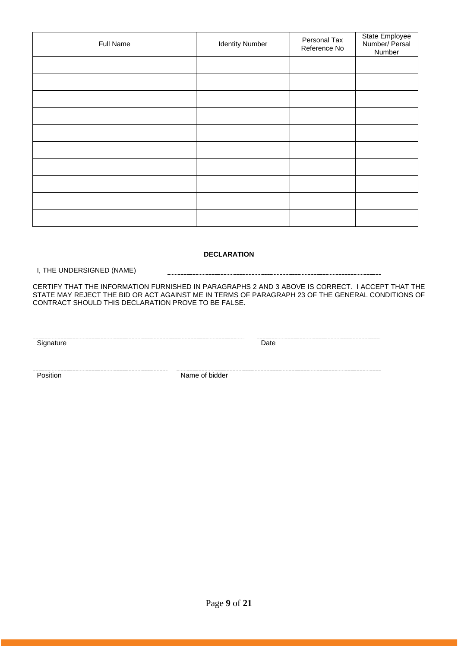| Full Name | <b>Identity Number</b> | Personal Tax<br>Reference No | State Employee<br>Number/ Persal<br>Number |
|-----------|------------------------|------------------------------|--------------------------------------------|
|           |                        |                              |                                            |
|           |                        |                              |                                            |
|           |                        |                              |                                            |
|           |                        |                              |                                            |
|           |                        |                              |                                            |
|           |                        |                              |                                            |
|           |                        |                              |                                            |
|           |                        |                              |                                            |
|           |                        |                              |                                            |
|           |                        |                              |                                            |

#### **DECLARATION**

I, THE UNDERSIGNED (NAME)

CERTIFY THAT THE INFORMATION FURNISHED IN PARAGRAPHS 2 AND 3 ABOVE IS CORRECT. I ACCEPT THAT THE STATE MAY REJECT THE BID OR ACT AGAINST ME IN TERMS OF PARAGRAPH 23 OF THE GENERAL CONDITIONS OF CONTRACT SHOULD THIS DECLARATION PROVE TO BE FALSE.

Signature Date

**Position** Name of bidder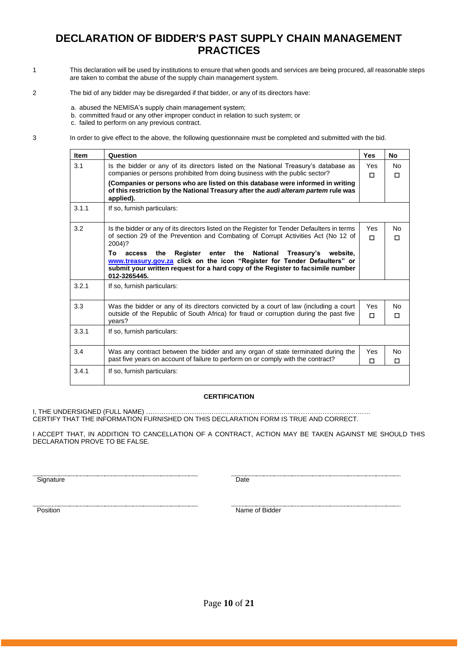# **DECLARATION OF BIDDER'S PAST SUPPLY CHAIN MANAGEMENT PRACTICES**

- 1 This declaration will be used by institutions to ensure that when goods and services are being procured, all reasonable steps are taken to combat the abuse of the supply chain management system.
- 2 The bid of any bidder may be disregarded if that bidder, or any of its directors have:
	- a. abused the NEMISA's supply chain management system;
	- b. committed fraud or any other improper conduct in relation to such system; or

c. failed to perform on any previous contract.

3 In order to give effect to the above, the following questionnaire must be completed and submitted with the bid.

| <b>Item</b> | Question                                                                                                                                                                                                                                                  | <b>Yes</b>    | <b>No</b> |
|-------------|-----------------------------------------------------------------------------------------------------------------------------------------------------------------------------------------------------------------------------------------------------------|---------------|-----------|
| 3.1         | Is the bidder or any of its directors listed on the National Treasury's database as<br>companies or persons prohibited from doing business with the public sector?                                                                                        | Yes           | <b>No</b> |
|             | (Companies or persons who are listed on this database were informed in writing<br>of this restriction by the National Treasury after the <i>audi alteram partem</i> rule was<br>applied).                                                                 | п             | п         |
| 3.1.1       | If so, furnish particulars:                                                                                                                                                                                                                               |               |           |
| 3.2         | Is the bidder or any of its directors listed on the Register for Tender Defaulters in terms<br>of section 29 of the Prevention and Combating of Corrupt Activities Act (No 12 of<br>2004)?                                                                | Yes<br>п      | No.<br>п  |
|             | Register enter the National<br>Тο<br>the<br>Treasury's website,<br>access<br>www.treasury.gov.za click on the icon "Register for Tender Defaulters" or<br>submit your written request for a hard copy of the Register to facsimile number<br>012-3265445. |               |           |
| 3.2.1       | If so, furnish particulars:                                                                                                                                                                                                                               |               |           |
| 3.3         | Was the bidder or any of its directors convicted by a court of law (including a court<br>outside of the Republic of South Africa) for fraud or corruption during the past five<br>vears?                                                                  | Yes<br>$\Box$ | Nο<br>п   |
| 3.3.1       | If so, furnish particulars:                                                                                                                                                                                                                               |               |           |
| 3.4         | Was any contract between the bidder and any organ of state terminated during the<br>past five years on account of failure to perform on or comply with the contract?                                                                                      | Yes<br>п      | No<br>п   |
| 3.4.1       | If so, furnish particulars:                                                                                                                                                                                                                               |               |           |

#### **CERTIFICATION**

I, THE UNDERSIGNED (FULL NAME) …………………………………………………………………………………………. CERTIFY THAT THE INFORMATION FURNISHED ON THIS DECLARATION FORM IS TRUE AND CORRECT.

I ACCEPT THAT, IN ADDITION TO CANCELLATION OF A CONTRACT, ACTION MAY BE TAKEN AGAINST ME SHOULD THIS DECLARATION PROVE TO BE FALSE.

Signature Date

Position Name of Bidder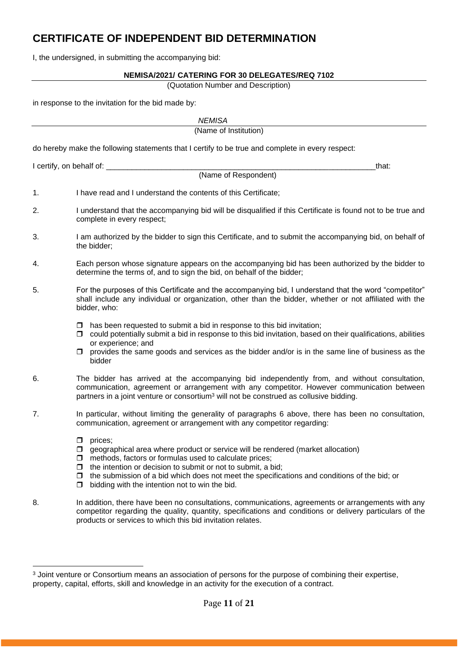# **CERTIFICATE OF INDEPENDENT BID DETERMINATION**

I, the undersigned, in submitting the accompanying bid:

#### **NEMISA/2021/ CATERING FOR 30 DELEGATES/REQ 7102**

(Quotation Number and Description)

in response to the invitation for the bid made by:

|    | <b>NEMISA</b>                                                                                                                                                                                                                                                                                                                                                                                        |
|----|------------------------------------------------------------------------------------------------------------------------------------------------------------------------------------------------------------------------------------------------------------------------------------------------------------------------------------------------------------------------------------------------------|
|    | (Name of Institution)                                                                                                                                                                                                                                                                                                                                                                                |
|    | do hereby make the following statements that I certify to be true and complete in every respect:                                                                                                                                                                                                                                                                                                     |
|    | I certify, on behalf of: _________<br>that:                                                                                                                                                                                                                                                                                                                                                          |
|    | (Name of Respondent)                                                                                                                                                                                                                                                                                                                                                                                 |
| 1. | I have read and I understand the contents of this Certificate;                                                                                                                                                                                                                                                                                                                                       |
| 2. | I understand that the accompanying bid will be disqualified if this Certificate is found not to be true and<br>complete in every respect;                                                                                                                                                                                                                                                            |
| 3. | I am authorized by the bidder to sign this Certificate, and to submit the accompanying bid, on behalf of<br>the bidder;                                                                                                                                                                                                                                                                              |
| 4. | Each person whose signature appears on the accompanying bid has been authorized by the bidder to<br>determine the terms of, and to sign the bid, on behalf of the bidder;                                                                                                                                                                                                                            |
| 5. | For the purposes of this Certificate and the accompanying bid, I understand that the word "competitor"<br>shall include any individual or organization, other than the bidder, whether or not affiliated with the<br>bidder, who:                                                                                                                                                                    |
|    | has been requested to submit a bid in response to this bid invitation;<br>□<br>could potentially submit a bid in response to this bid invitation, based on their qualifications, abilities<br>□<br>or experience; and<br>provides the same goods and services as the bidder and/or is in the same line of business as the<br>□<br>bidder                                                             |
| 6. | The bidder has arrived at the accompanying bid independently from, and without consultation,<br>communication, agreement or arrangement with any competitor. However communication between<br>partners in a joint venture or consortium <sup>3</sup> will not be construed as collusive bidding.                                                                                                     |
| 7. | In particular, without limiting the generality of paragraphs 6 above, there has been no consultation,<br>communication, agreement or arrangement with any competitor regarding:                                                                                                                                                                                                                      |
|    | prices;<br>◻<br>geographical area where product or service will be rendered (market allocation)<br>□<br>methods, factors or formulas used to calculate prices;<br>⊔<br>the intention or decision to submit or not to submit, a bid;<br>□<br>the submission of a bid which does not meet the specifications and conditions of the bid; or<br>◻<br>bidding with the intention not to win the bid.<br>◻ |
| 8. | In addition, there have been no consultations, communications, agreements or arrangements with any<br>competitor regarding the quality, quantity, specifications and conditions or delivery particulars of the<br>products or services to which this bid invitation relates.                                                                                                                         |

<sup>&</sup>lt;sup>3</sup> Joint venture or Consortium means an association of persons for the purpose of combining their expertise, property, capital, efforts, skill and knowledge in an activity for the execution of a contract.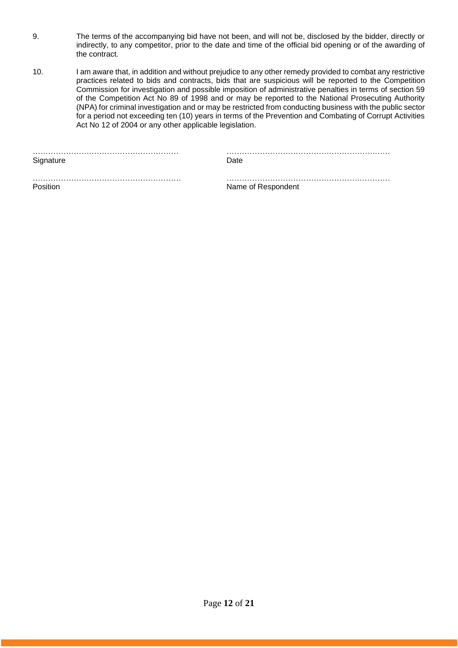- 9. The terms of the accompanying bid have not been, and will not be, disclosed by the bidder, directly or indirectly, to any competitor, prior to the date and time of the official bid opening or of the awarding of the contract.
- 10. I am aware that, in addition and without prejudice to any other remedy provided to combat any restrictive practices related to bids and contracts, bids that are suspicious will be reported to the Competition Commission for investigation and possible imposition of administrative penalties in terms of section 59 of the Competition Act No 89 of 1998 and or may be reported to the National Prosecuting Authority (NPA) for criminal investigation and or may be restricted from conducting business with the public sector for a period not exceeding ten (10) years in terms of the Prevention and Combating of Corrupt Activities Act No 12 of 2004 or any other applicable legislation.

|           | . |
|-----------|---|
| Signature |   |

………………………………………………… ………………………………………………….……

…………………………………………………. …………………………………………….………… Position **Name of Respondent**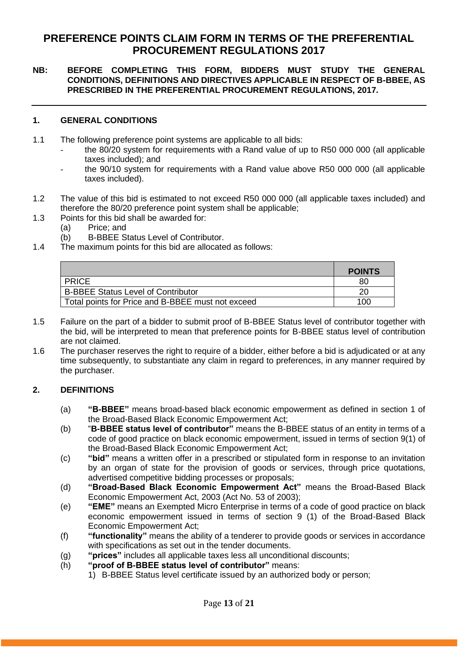# **PREFERENCE POINTS CLAIM FORM IN TERMS OF THE PREFERENTIAL PROCUREMENT REGULATIONS 2017**

# **NB: BEFORE COMPLETING THIS FORM, BIDDERS MUST STUDY THE GENERAL CONDITIONS, DEFINITIONS AND DIRECTIVES APPLICABLE IN RESPECT OF B-BBEE, AS PRESCRIBED IN THE PREFERENTIAL PROCUREMENT REGULATIONS, 2017.**

# **1. GENERAL CONDITIONS**

- 1.1 The following preference point systems are applicable to all bids:
	- the 80/20 system for requirements with a Rand value of up to R50 000 000 (all applicable taxes included); and
	- the 90/10 system for requirements with a Rand value above R50 000 000 (all applicable taxes included).
- 1.2 The value of this bid is estimated to not exceed R50 000 000 (all applicable taxes included) and therefore the 80/20 preference point system shall be applicable;
- 1.3 Points for this bid shall be awarded for:
	- (a) Price; and
	- (b) B-BBEE Status Level of Contributor.
- 1.4 The maximum points for this bid are allocated as follows:

|                                                   | <b>POINTS</b> |
|---------------------------------------------------|---------------|
| <b>PRICE</b>                                      | 80            |
| <b>B-BBEE Status Level of Contributor</b>         | 20            |
| Total points for Price and B-BBEE must not exceed | 100           |

- 1.5 Failure on the part of a bidder to submit proof of B-BBEE Status level of contributor together with the bid, will be interpreted to mean that preference points for B-BBEE status level of contribution are not claimed.
- 1.6 The purchaser reserves the right to require of a bidder, either before a bid is adjudicated or at any time subsequently, to substantiate any claim in regard to preferences, in any manner required by the purchaser.

# **2. DEFINITIONS**

- (a) **"B-BBEE"** means broad-based black economic empowerment as defined in section 1 of the Broad-Based Black Economic Empowerment Act;
- (b) "**B-BBEE status level of contributor"** means the B-BBEE status of an entity in terms of a code of good practice on black economic empowerment, issued in terms of section 9(1) of the Broad-Based Black Economic Empowerment Act;
- (c) **"bid"** means a written offer in a prescribed or stipulated form in response to an invitation by an organ of state for the provision of goods or services, through price quotations, advertised competitive bidding processes or proposals;
- (d) **"Broad-Based Black Economic Empowerment Act"** means the Broad-Based Black Economic Empowerment Act, 2003 (Act No. 53 of 2003);
- (e) **"EME"** means an Exempted Micro Enterprise in terms of a code of good practice on black economic empowerment issued in terms of section 9 (1) of the Broad-Based Black Economic Empowerment Act;
- (f) **"functionality"** means the ability of a tenderer to provide goods or services in accordance with specifications as set out in the tender documents.
- (g) **"prices"** includes all applicable taxes less all unconditional discounts;
- (h) **"proof of B-BBEE status level of contributor"** means:
	- 1) B-BBEE Status level certificate issued by an authorized body or person;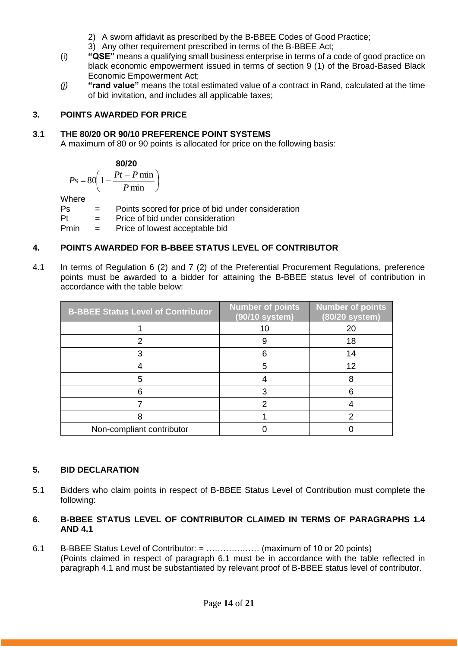- 2) A sworn affidavit as prescribed by the B-BBEE Codes of Good Practice;
- 3) Any other requirement prescribed in terms of the B-BBEE Act;
- (i) **"QSE"** means a qualifying small business enterprise in terms of a code of good practice on black economic empowerment issued in terms of section 9 (1) of the Broad-Based Black Economic Empowerment Act;
- *(j)* **"rand value"** means the total estimated value of a contract in Rand, calculated at the time of bid invitation, and includes all applicable taxes;

# **3. POINTS AWARDED FOR PRICE**

# **3.1 THE 80/20 OR 90/10 PREFERENCE POINT SYSTEMS**

A maximum of 80 or 90 points is allocated for price on the following basis:

$$
\begin{array}{c}\n80/20 \\
\end{array}
$$

$$
Ps = 80 \left( 1 - \frac{Pt - P \min}{P \min} \right)
$$

Where

Ps = Points scored for price of bid under consideration

Pt = Price of bid under consideration

Pmin = Price of lowest acceptable bid

# **4. POINTS AWARDED FOR B-BBEE STATUS LEVEL OF CONTRIBUTOR**

4.1 In terms of Regulation 6 (2) and 7 (2) of the Preferential Procurement Regulations, preference points must be awarded to a bidder for attaining the B-BBEE status level of contribution in accordance with the table below:

| <b>B-BBEE Status Level of Contributor</b> | <b>Number of points</b><br>(90/10 system) | <b>Number</b> of points<br>(80/20 system) |
|-------------------------------------------|-------------------------------------------|-------------------------------------------|
|                                           | 10                                        | 20                                        |
|                                           |                                           | 18                                        |
|                                           |                                           | 14                                        |
|                                           |                                           | 12                                        |
|                                           |                                           |                                           |
|                                           |                                           |                                           |
|                                           |                                           |                                           |
|                                           |                                           |                                           |
| Non-compliant contributor                 |                                           |                                           |

# **5. BID DECLARATION**

5.1 Bidders who claim points in respect of B-BBEE Status Level of Contribution must complete the following:

# **6. B-BBEE STATUS LEVEL OF CONTRIBUTOR CLAIMED IN TERMS OF PARAGRAPHS 1.4 AND 4.1**

6.1 B-BBEE Status Level of Contributor: = ………….…… (maximum of 10 or 20 points) (Points claimed in respect of paragraph 6.1 must be in accordance with the table reflected in paragraph 4.1 and must be substantiated by relevant proof of B-BBEE status level of contributor.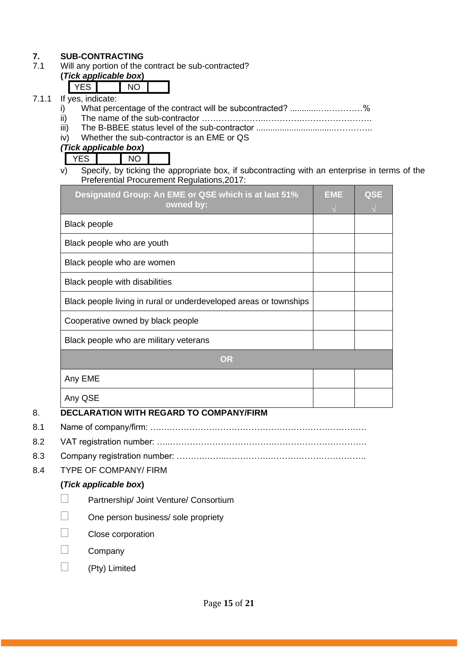# **7. SUB-CONTRACTING**<br>**7.1** Will any portion of the

Will any portion of the contract be sub-contracted?

#### **(***Tick applicable box***)**  $\nabla$ FS  $\nabla$

| lf |  | ves indicate. |  |
|----|--|---------------|--|
|    |  |               |  |

- 7.1.1 If  $\frac{1}{i}$ i) What percentage of the contract will be subcontracted? ............….…………%
	- ii) The name of the sub-contractor …………………..………….…………………….
	- iii) The B-BBEE status level of the sub-contractor .................................…………..
	- iv) Whether the sub-contractor is an EME or QS

*(Tick applicable box***)**

YES NO

v) Specify, by ticking the appropriate box, if subcontracting with an enterprise in terms of the Preferential Procurement Regulations,2017:

| <b>Black people</b><br>Black people who are youth<br>Black people who are women<br>Black people with disabilities<br>Black people living in rural or underdeveloped areas or townships<br>Cooperative owned by black people<br>Black people who are military veterans<br><b>OR</b> | Designated Group: An EME or QSE which is at last 51%<br>owned by: | <b>EME</b> | <b>QSE</b> |
|------------------------------------------------------------------------------------------------------------------------------------------------------------------------------------------------------------------------------------------------------------------------------------|-------------------------------------------------------------------|------------|------------|
|                                                                                                                                                                                                                                                                                    |                                                                   |            |            |
|                                                                                                                                                                                                                                                                                    |                                                                   |            |            |
|                                                                                                                                                                                                                                                                                    |                                                                   |            |            |
|                                                                                                                                                                                                                                                                                    |                                                                   |            |            |
|                                                                                                                                                                                                                                                                                    |                                                                   |            |            |
|                                                                                                                                                                                                                                                                                    |                                                                   |            |            |
|                                                                                                                                                                                                                                                                                    |                                                                   |            |            |
|                                                                                                                                                                                                                                                                                    |                                                                   |            |            |
|                                                                                                                                                                                                                                                                                    | Any EME                                                           |            |            |
| Any QSE                                                                                                                                                                                                                                                                            |                                                                   |            |            |

# 8. **DECLARATION WITH REGARD TO COMPANY/FIRM**

- 8.1 Name of company/firm: ….……………………………………………………………….
- 8.2 VAT registration number: …..……………………………….……………………………
- 8.3 Company registration number: ……….……..…………….…………………………….
- 8.4 TYPE OF COMPANY/ FIRM

# **(***Tick applicable box***)**

- Partnership/ Joint Venture/ Consortium
- One person business/ sole propriety
- Close corporation
- Company
- (Pty) Limited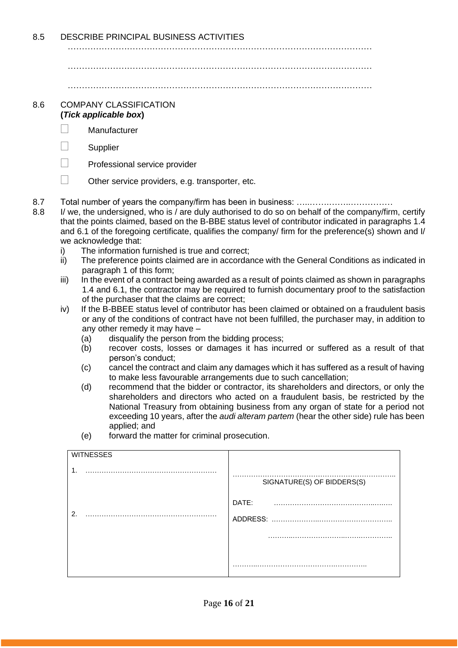8.5 DESCRIBE PRINCIPAL BUSINESS ACTIVITIES

………………………………………………………………………………………………

………………………………………………………………………………………………

………………………………………………………………………………………………

#### 8.6 COMPANY CLASSIFICATION **(***Tick applicable box***)**

- Manufacturer
- $\Box$  Supplier
- $\Box$  Professional service provider
- $\Box$  Other service providers, e.g. transporter, etc.
- 8.7 Total number of years the company/firm has been in business: …..…….……..……………
- 8.8 I/ we, the undersigned, who is / are duly authorised to do so on behalf of the company/firm, certify that the points claimed, based on the B-BBE status level of contributor indicated in paragraphs 1.4 and 6.1 of the foregoing certificate, qualifies the company/ firm for the preference(s) shown and I/ we acknowledge that:
	- i) The information furnished is true and correct;
	- ii) The preference points claimed are in accordance with the General Conditions as indicated in paragraph 1 of this form;
	- iii) In the event of a contract being awarded as a result of points claimed as shown in paragraphs 1.4 and 6.1, the contractor may be required to furnish documentary proof to the satisfaction of the purchaser that the claims are correct;
	- iv) If the B-BBEE status level of contributor has been claimed or obtained on a fraudulent basis or any of the conditions of contract have not been fulfilled, the purchaser may, in addition to any other remedy it may have –
		- (a) disqualify the person from the bidding process;
		- (b) recover costs, losses or damages it has incurred or suffered as a result of that person's conduct;
		- (c) cancel the contract and claim any damages which it has suffered as a result of having to make less favourable arrangements due to such cancellation;
		- (d) recommend that the bidder or contractor, its shareholders and directors, or only the shareholders and directors who acted on a fraudulent basis, be restricted by the National Treasury from obtaining business from any organ of state for a period not exceeding 10 years, after the *audi alteram partem* (hear the other side) rule has been applied; and
		- (e) forward the matter for criminal prosecution.

| <b>WITNESSES</b> |                            |
|------------------|----------------------------|
| $\mathbf 1$      | SIGNATURE(S) OF BIDDERS(S) |
|                  | DATE:                      |
| 2.               |                            |
|                  | .                          |
|                  |                            |
|                  |                            |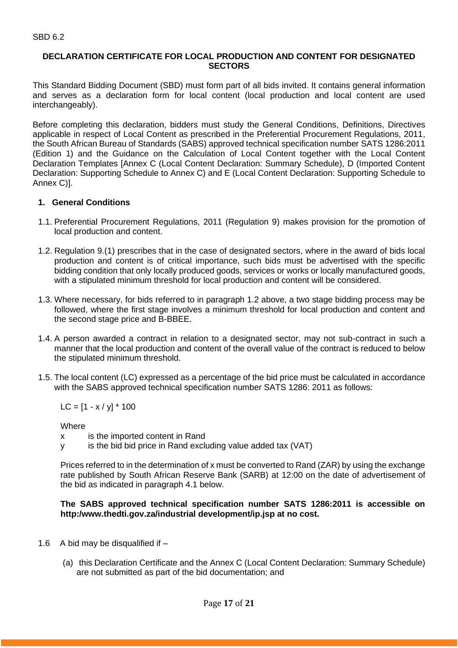## **DECLARATION CERTIFICATE FOR LOCAL PRODUCTION AND CONTENT FOR DESIGNATED SECTORS**

This Standard Bidding Document (SBD) must form part of all bids invited. It contains general information and serves as a declaration form for local content (local production and local content are used interchangeably).

Before completing this declaration, bidders must study the General Conditions, Definitions, Directives applicable in respect of Local Content as prescribed in the Preferential Procurement Regulations, 2011, the South African Bureau of Standards (SABS) approved technical specification number SATS 1286:2011 (Edition 1) and the Guidance on the Calculation of Local Content together with the Local Content Declaration Templates [Annex C (Local Content Declaration: Summary Schedule), D (Imported Content Declaration: Supporting Schedule to Annex C) and E (Local Content Declaration: Supporting Schedule to Annex C)].

# **1. General Conditions**

- 1.1. Preferential Procurement Regulations, 2011 (Regulation 9) makes provision for the promotion of local production and content.
- 1.2. Regulation 9.(1) prescribes that in the case of designated sectors, where in the award of bids local production and content is of critical importance, such bids must be advertised with the specific bidding condition that only locally produced goods, services or works or locally manufactured goods, with a stipulated minimum threshold for local production and content will be considered.
- 1.3. Where necessary, for bids referred to in paragraph 1.2 above, a two stage bidding process may be followed, where the first stage involves a minimum threshold for local production and content and the second stage price and B-BBEE.
- 1.4. A person awarded a contract in relation to a designated sector, may not sub-contract in such a manner that the local production and content of the overall value of the contract is reduced to below the stipulated minimum threshold.
- 1.5. The local content (LC) expressed as a percentage of the bid price must be calculated in accordance with the SABS approved technical specification number SATS 1286: 2011 as follows:

 $LC = [1 - x / y] * 100$ 

**Where** 

- x is the imported content in Rand
- y is the bid bid price in Rand excluding value added tax (VAT)

Prices referred to in the determination of x must be converted to Rand (ZAR) by using the exchange rate published by South African Reserve Bank (SARB) at 12:00 on the date of advertisement of the bid as indicated in paragraph 4.1 below.

## **The SABS approved technical specification number SATS 1286:2011 is accessible on http:/www.thedti.gov.za/industrial development/ip.jsp at no cost.**

- 1.6 A bid may be disqualified if  $-$ 
	- (a) this Declaration Certificate and the Annex C (Local Content Declaration: Summary Schedule) are not submitted as part of the bid documentation; and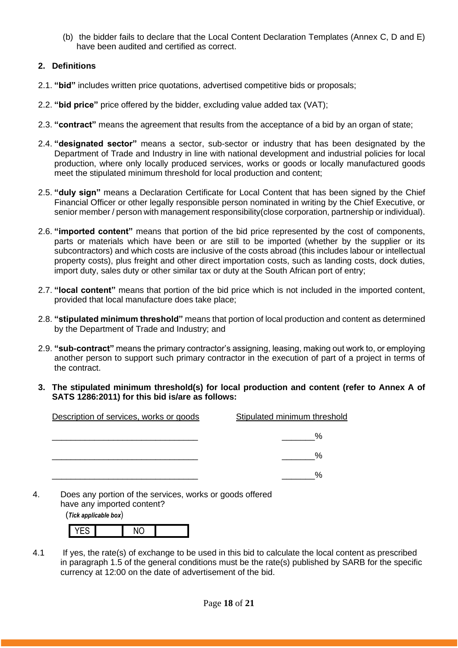(b) the bidder fails to declare that the Local Content Declaration Templates (Annex C, D and E) have been audited and certified as correct.

# **2. Definitions**

- 2.1. **"bid"** includes written price quotations, advertised competitive bids or proposals;
- 2.2. **"bid price"** price offered by the bidder, excluding value added tax (VAT);
- 2.3. **"contract"** means the agreement that results from the acceptance of a bid by an organ of state;
- 2.4. **"designated sector"** means a sector, sub-sector or industry that has been designated by the Department of Trade and Industry in line with national development and industrial policies for local production, where only locally produced services, works or goods or locally manufactured goods meet the stipulated minimum threshold for local production and content;
- 2.5. **"duly sign"** means a Declaration Certificate for Local Content that has been signed by the Chief Financial Officer or other legally responsible person nominated in writing by the Chief Executive, or senior member / person with management responsibility(close corporation, partnership or individual).
- 2.6. **"imported content"** means that portion of the bid price represented by the cost of components, parts or materials which have been or are still to be imported (whether by the supplier or its subcontractors) and which costs are inclusive of the costs abroad (this includes labour or intellectual property costs), plus freight and other direct importation costs, such as landing costs, dock duties, import duty, sales duty or other similar tax or duty at the South African port of entry;
- 2.7. **"local content"** means that portion of the bid price which is not included in the imported content, provided that local manufacture does take place;
- 2.8. **"stipulated minimum threshold"** means that portion of local production and content as determined by the Department of Trade and Industry; and
- 2.9. **"sub-contract"** means the primary contractor's assigning, leasing, making out work to, or employing another person to support such primary contractor in the execution of part of a project in terms of the contract.
- **3. The stipulated minimum threshold(s) for local production and content (refer to Annex A of SATS 1286:2011) for this bid is/are as follows:**

| Description of services, works or goods | Stipulated minimum threshold |
|-----------------------------------------|------------------------------|
|                                         | %                            |
|                                         | %                            |
|                                         | %                            |

4. Does any portion of the services, works or goods offered have any imported content?

(*Tick applicable box*)

4.1 If yes, the rate(s) of exchange to be used in this bid to calculate the local content as prescribed in paragraph 1.5 of the general conditions must be the rate(s) published by SARB for the specific currency at 12:00 on the date of advertisement of the bid.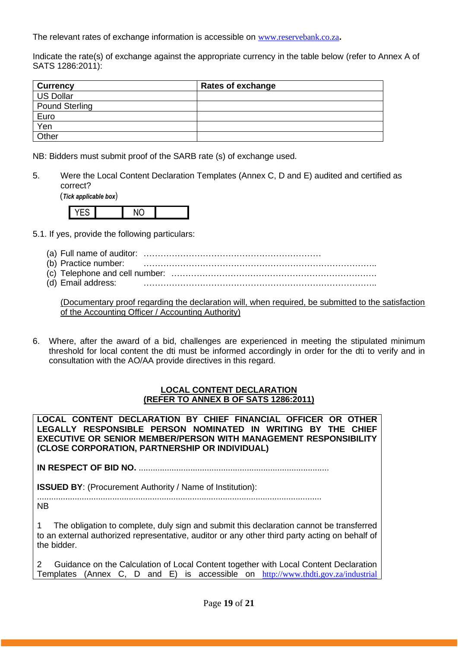The relevant rates of exchange information is accessible on [www.reservebank.co.za](http://www.reservebank.co.za/)**.**

Indicate the rate(s) of exchange against the appropriate currency in the table below (refer to Annex A of SATS 1286:2011):

| <b>Currency</b>       | <b>Rates of exchange</b> |
|-----------------------|--------------------------|
| <b>US Dollar</b>      |                          |
| <b>Pound Sterling</b> |                          |
| Euro                  |                          |
| Yen                   |                          |
| Other                 |                          |

NB: Bidders must submit proof of the SARB rate (s) of exchange used.

5. Were the Local Content Declaration Templates (Annex C, D and E) audited and certified as correct?

(*Tick applicable box*)



- 5.1. If yes, provide the following particulars:
	- (a) Full name of auditor: ………………………………………………………
	- (b) Practice number: ………………………………………………………………………..
	- (c) Telephone and cell number: ……………………………………………………………….
	- (d) Email address: ………………………………………………………………………..

(Documentary proof regarding the declaration will, when required, be submitted to the satisfaction of the Accounting Officer / Accounting Authority)

6. Where, after the award of a bid, challenges are experienced in meeting the stipulated minimum threshold for local content the dti must be informed accordingly in order for the dti to verify and in consultation with the AO/AA provide directives in this regard.

#### **LOCAL CONTENT DECLARATION (REFER TO ANNEX B OF SATS 1286:2011)**

**LOCAL CONTENT DECLARATION BY CHIEF FINANCIAL OFFICER OR OTHER LEGALLY RESPONSIBLE PERSON NOMINATED IN WRITING BY THE CHIEF EXECUTIVE OR SENIOR MEMBER/PERSON WITH MANAGEMENT RESPONSIBILITY (CLOSE CORPORATION, PARTNERSHIP OR INDIVIDUAL)** 

**IN RESPECT OF BID NO.** .................................................................................

**ISSUED BY:** (Procurement Authority / Name of Institution):

......................................................................................................................... NB

1 The obligation to complete, duly sign and submit this declaration cannot be transferred to an external authorized representative, auditor or any other third party acting on behalf of the bidder.

2 Guidance on the Calculation of Local Content together with Local Content Declaration Templates (Annex C, D and E) is accessible on [http://www.thdti.gov.za/industrial](http://www.thdti.gov.za/industrial%20development/ip.jsp)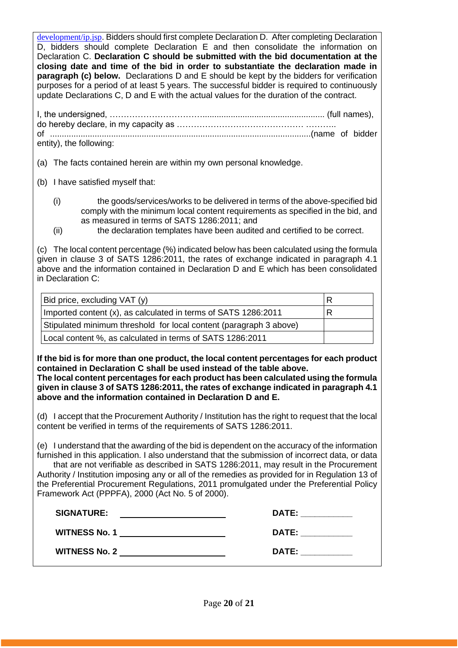[development/ip.jsp](http://www.thdti.gov.za/industrial%20development/ip.jsp). Bidders should first complete Declaration D. After completing Declaration D, bidders should complete Declaration E and then consolidate the information on Declaration C. **Declaration C should be submitted with the bid documentation at the closing date and time of the bid in order to substantiate the declaration made in paragraph (c) below.** Declarations D and E should be kept by the bidders for verification purposes for a period of at least 5 years. The successful bidder is required to continuously update Declarations C, D and E with the actual values for the duration of the contract.

| entity), the following: |  |
|-------------------------|--|

(a) The facts contained herein are within my own personal knowledge.

- (b) I have satisfied myself that:
	- (i) the goods/services/works to be delivered in terms of the above-specified bid comply with the minimum local content requirements as specified in the bid, and as measured in terms of SATS 1286:2011; and
	- (ii) the declaration templates have been audited and certified to be correct.

(c) The local content percentage (%) indicated below has been calculated using the formula given in clause 3 of SATS 1286:2011, the rates of exchange indicated in paragraph 4.1 above and the information contained in Declaration D and E which has been consolidated in Declaration C:

| Bid price, excluding VAT (y)                                       | R |
|--------------------------------------------------------------------|---|
| Imported content (x), as calculated in terms of SATS 1286:2011     | R |
| Stipulated minimum threshold for local content (paragraph 3 above) |   |
| Local content %, as calculated in terms of SATS 1286:2011          |   |

**If the bid is for more than one product, the local content percentages for each product contained in Declaration C shall be used instead of the table above.** 

**The local content percentages for each product has been calculated using the formula given in clause 3 of SATS 1286:2011, the rates of exchange indicated in paragraph 4.1 above and the information contained in Declaration D and E.**

(d) I accept that the Procurement Authority / Institution has the right to request that the local content be verified in terms of the requirements of SATS 1286:2011.

(e) I understand that the awarding of the bid is dependent on the accuracy of the information furnished in this application. I also understand that the submission of incorrect data, or data that are not verifiable as described in SATS 1286:2011, may result in the Procurement Authority / Institution imposing any or all of the remedies as provided for in Regulation 13 of the Preferential Procurement Regulations, 2011 promulgated under the Preferential Policy Framework Act (PPPFA), 2000 (Act No. 5 of 2000).

| <b>SIGNATURE:</b>    | <b>DATE:</b> |
|----------------------|--------------|
| <b>WITNESS No. 1</b> | <b>DATE:</b> |
| <b>WITNESS No. 2</b> | DATE:        |